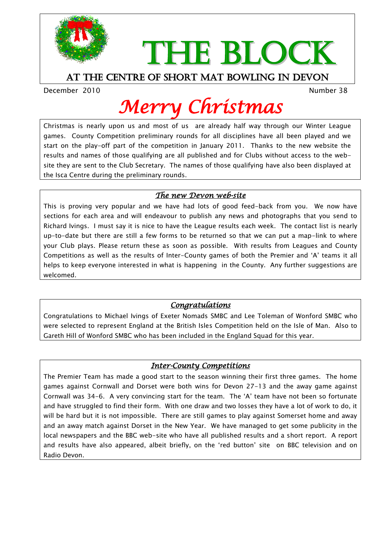

# THE BLOCK

#### At the centre of short mat bowling in devon

December 2010 and the control of the control of the Number 38

## *Merry Christmas*

Christmas is nearly upon us and most of us are already half way through our Winter League games. County Competition preliminary rounds for all disciplines have all been played and we start on the play-off part of the competition in January 2011. Thanks to the new website the results and names of those qualifying are all published and for Clubs without access to the website they are sent to the Club Secretary. The names of those qualifying have also been displayed at the Isca Centre during the preliminary rounds.

#### *The new Devon web-site*

This is proving very popular and we have had lots of good feed-back from you. We now have sections for each area and will endeavour to publish any news and photographs that you send to Richard Ivings. I must say it is nice to have the League results each week. The contact list is nearly up-to-date but there are still a few forms to be returned so that we can put a map-link to where your Club plays. Please return these as soon as possible. With results from Leagues and County Competitions as well as the results of Inter-County games of both the Premier and "A" teams it all helps to keep everyone interested in what is happening in the County. Any further suggestions are welcomed.

#### *Congratulations*

Congratulations to Michael Ivings of Exeter Nomads SMBC and Lee Toleman of Wonford SMBC who were selected to represent England at the British Isles Competition held on the Isle of Man. Also to Gareth Hill of Wonford SMBC who has been included in the England Squad for this year.

#### *Inter-County Competitions*

The Premier Team has made a good start to the season winning their first three games. The home games against Cornwall and Dorset were both wins for Devon 27-13 and the away game against Cornwall was 34-6. A very convincing start for the team. The "A" team have not been so fortunate and have struggled to find their form. With one draw and two losses they have a lot of work to do, it will be hard but it is not impossible. There are still games to play against Somerset home and away and an away match against Dorset in the New Year. We have managed to get some publicity in the local newspapers and the BBC web-site who have all published results and a short report. A report and results have also appeared, albeit briefly, on the "red button" site on BBC television and on Radio Devon.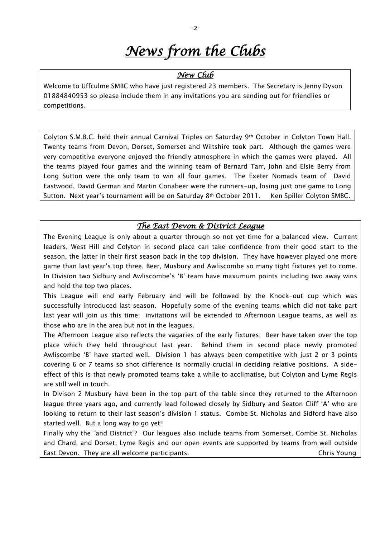### *News from the Clubs*

#### *New Club*

Welcome to Uffculme SMBC who have just registered 23 members. The Secretary is Jenny Dyson 01884840953 so please include them in any invitations you are sending out for friendlies or competitions.

Colyton S.M.B.C. held their annual Carnival Triples on Saturday 9th October in Colyton Town Hall. Twenty teams from Devon, Dorset, Somerset and Wiltshire took part. Although the games were very competitive everyone enjoyed the friendly atmosphere in which the games were played. All the teams played four games and the winning team of Bernard Tarr, John and Elsie Berry from Long Sutton were the only team to win all four games. The Exeter Nomads team of David Eastwood, David German and Martin Conabeer were the runners-up, losing just one game to Long Sutton. Next year's tournament will be on Saturday 8th October 2011. Ken Spiller Colyton SMBC.

#### *The East Devon & District League*

The Evening League is only about a quarter through so not yet time for a balanced view. Current leaders, West Hill and Colyton in second place can take confidence from their good start to the season, the latter in their first season back in the top division. They have however played one more game than last year"s top three, Beer, Musbury and Awliscombe so many tight fixtures yet to come. In Division two Sidbury and Awliscombe's 'B' team have maxumum points including two away wins and hold the top two places.

This League will end early February and will be followed by the Knock-out cup which was successfully introduced last season. Hopefully some of the evening teams which did not take part last year will join us this time; invitations will be extended to Afternoon League teams, as well as those who are in the area but not in the leagues.

The Afternoon League also reflects the vagaries of the early fixtures; Beer have taken over the top place which they held throughout last year. Behind them in second place newly promoted Awliscombe "B" have started well. Division 1 has always been competitive with just 2 or 3 points covering 6 or 7 teams so shot difference is normally crucial in deciding relative positions. A sideeffect of this is that newly promoted teams take a while to acclimatise, but Colyton and Lyme Regis are still well in touch.

In Divison 2 Musbury have been in the top part of the table since they returned to the Afternoon league three years ago, and currently lead followed closely by Sidbury and Seaton Cliff "A" who are looking to return to their last season's division 1 status. Combe St. Nicholas and Sidford have also started well. But a long way to go yet!!

Finally why the "and District"? Our leagues also include teams from Somerset, Combe St. Nicholas and Chard, and Dorset, Lyme Regis and our open events are supported by teams from well outside East Devon. They are all welcome participants. Chris Young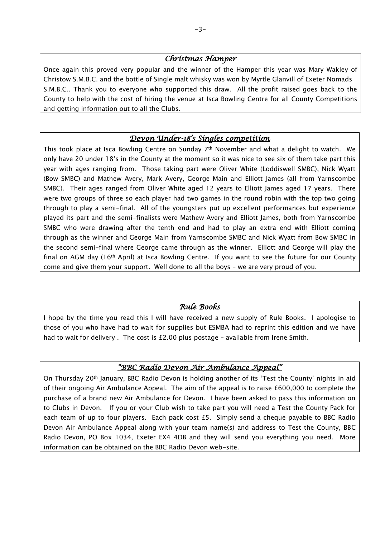#### *Christmas Hamper*

Once again this proved very popular and the winner of the Hamper this year was Mary Wakley of Christow S.M.B.C. and the bottle of Single malt whisky was won by Myrtle Glanvill of Exeter Nomads S.M.B.C.. Thank you to everyone who supported this draw. All the profit raised goes back to the County to help with the cost of hiring the venue at Isca Bowling Centre for all County Competitions and getting information out to all the Clubs.

#### *Devon Under-18's Singles competition*

This took place at Isca Bowling Centre on Sunday 7th November and what a delight to watch. We only have 20 under 18"s in the County at the moment so it was nice to see six of them take part this year with ages ranging from. Those taking part were Oliver White (Loddiswell SMBC), Nick Wyatt (Bow SMBC) and Mathew Avery, Mark Avery, George Main and Elliott James (all from Yarnscombe SMBC). Their ages ranged from Oliver White aged 12 years to Elliott James aged 17 years. There were two groups of three so each player had two games in the round robin with the top two going through to play a semi-final. All of the youngsters put up excellent performances but experience played its part and the semi-finalists were Mathew Avery and Elliott James, both from Yarnscombe SMBC who were drawing after the tenth end and had to play an extra end with Elliott coming through as the winner and George Main from Yarnscombe SMBC and Nick Wyatt from Bow SMBC in the second semi-final where George came through as the winner. Elliott and George will play the final on AGM day (16<sup>th</sup> April) at Isca Bowling Centre. If you want to see the future for our County come and give them your support. Well done to all the boys – we are very proud of you.

#### *Rule Books*

I hope by the time you read this I will have received a new supply of Rule Books. I apologise to those of you who have had to wait for supplies but ESMBA had to reprint this edition and we have had to wait for delivery . The cost is £2.00 plus postage - available from Irene Smith.

#### *"BBC Radio Devon Air Ambulance Appeal"*

On Thursday 20th January, BBC Radio Devon is holding another of its "Test the County" nights in aid of their ongoing Air Ambulance Appeal. The aim of the appeal is to raise £600,000 to complete the purchase of a brand new Air Ambulance for Devon. I have been asked to pass this information on to Clubs in Devon. If you or your Club wish to take part you will need a Test the County Pack for each team of up to four players. Each pack cost £5. Simply send a cheque payable to BBC Radio Devon Air Ambulance Appeal along with your team name(s) and address to Test the County, BBC Radio Devon, PO Box 1034, Exeter EX4 4DB and they will send you everything you need. More information can be obtained on the BBC Radio Devon web-site.